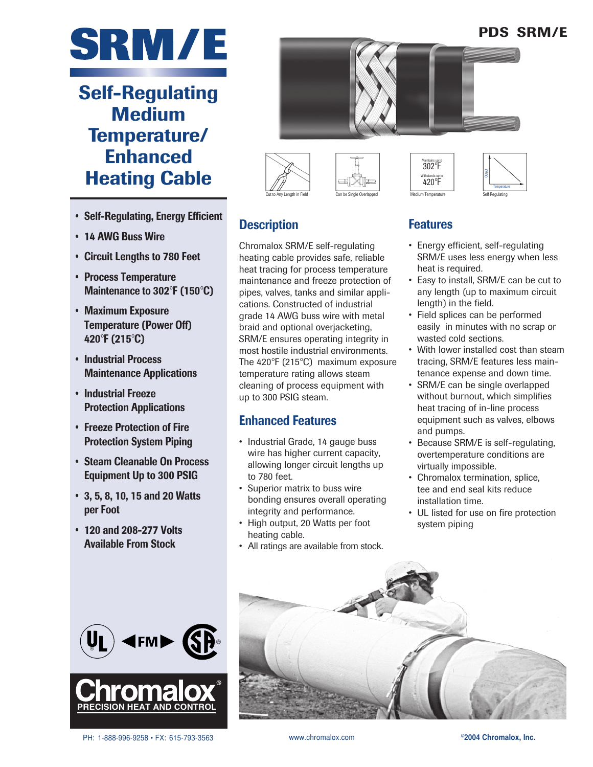# **PDS SRM/E**



# **Self-Regulating Medium Temperature/ Enhanced Heating Cable**

- **• Self-Regulating, Energy Efficient**
- **• 14 AWG Buss Wire**
- **• Circuit Lengths to 780 Feet**
- **• Process Temperature Maintenance to 302**°**F (150**°**C)**
- **• Maximum Exposure Temperature (Power Off) 420**°**F (215**°**C)**
- **• Industrial Process Maintenance Applications**
- **• Industrial Freeze Protection Applications**
- **• Freeze Protection of Fire Protection System Piping**
- **• Steam Cleanable On Process Equipment Up to 300 PSIG**
- **• 3, 5, 8, 10, 15 and 20 Watts per Foot**
- **• 120 and 208-277 Volts Available From Stock**



Cut to Any Length in Field Can be Single Overlapped Medium Temperature Self Regulating

# **Description**

Chromalox SRM/E self-regulating heating cable provides safe, reliable heat tracing for process temperature maintenance and freeze protection of pipes, valves, tanks and similar applications. Constructed of industrial grade 14 AWG buss wire with metal braid and optional overjacketing, SRM/E ensures operating integrity in most hostile industrial environments. The 420°F (215°C) maximum exposure temperature rating allows steam cleaning of process equipment with up to 300 PSIG steam.

# **Enhanced Features**

- Industrial Grade, 14 gauge buss wire has higher current capacity, allowing longer circuit lengths up to 780 feet.
- Superior matrix to buss wire bonding ensures overall operating integrity and performance.
- High output, 20 Watts per foot heating cable.
- All ratings are available from stock.

# **Features**

• Energy efficient, self-regulating SRM/E uses less energy when less heat is required.

Temperature

- Easy to install, SRM/E can be cut to any length (up to maximum circuit length) in the field.
- Field splices can be performed easily in minutes with no scrap or wasted cold sections.
- With lower installed cost than steam tracing, SRM/E features less maintenance expense and down time.
- SRM/E can be single overlapped without burnout, which simplifies heat tracing of in-line process equipment such as valves, elbows and pumps.
- Because SRM/E is self-regulating, overtemperature conditions are virtually impossible.
- Chromalox termination, splice, tee and end seal kits reduce installation time.
- UL listed for use on fire protection system piping





PH: 1-888-996-9258 • FX: 615-793-3563 www.chromalox.com **©2004 Chromalox, Inc.**

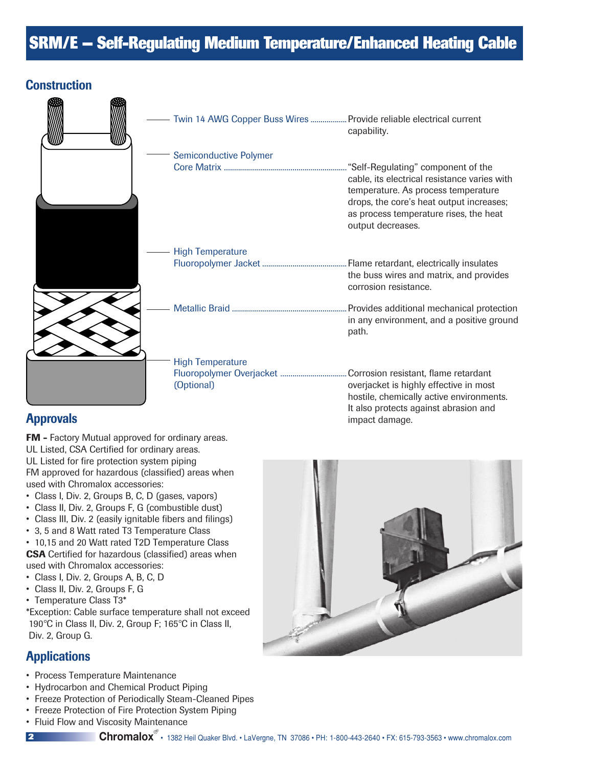# **SRM/E — Self-Regulating Medium Temperature/Enhanced Heating Cable**

### **Construction**



| Twin 14 AWG Copper Buss Wires  Provide reliable electrical current | capability.                                                                                                                                                                                                                            |
|--------------------------------------------------------------------|----------------------------------------------------------------------------------------------------------------------------------------------------------------------------------------------------------------------------------------|
| <b>Semiconductive Polymer</b>                                      | . "Self-Regulating" component of the<br>cable, its electrical resistance varies with<br>temperature. As process temperature<br>drops, the core's heat output increases;<br>as process temperature rises, the heat<br>output decreases. |
| <b>High Temperature</b>                                            | . Flame retardant, electrically insulates<br>the buss wires and matrix, and provides<br>corrosion resistance.                                                                                                                          |
|                                                                    | . Provides additional mechanical protection<br>in any environment, and a positive ground<br>path.                                                                                                                                      |
| <b>High Temperature</b><br>(Optional)                              | Corrosion resistant. flame retardant<br>overjacket is highly effective in most<br>hostile, chemically active environments.<br>It also protects against abrasion and                                                                    |

# **Approvals**

**FM -** Factory Mutual approved for ordinary areas.

UL Listed, CSA Certified for ordinary areas.

UL Listed for fire protection system piping FM approved for hazardous (classified) areas when used with Chromalox accessories:

- Class I, Div. 2, Groups B, C, D (gases, vapors)
- Class II, Div. 2, Groups F, G (combustible dust)
- Class III, Div. 2 (easily ignitable fibers and filings)
- 3, 5 and 8 Watt rated T3 Temperature Class

• 10,15 and 20 Watt rated T2D Temperature Class **CSA** Certified for hazardous (classified) areas when used with Chromalox accessories:

- Class I, Div. 2, Groups A, B, C, D
- Class II, Div. 2, Groups F, G
- Temperature Class T3\*

\*Exception: Cable surface temperature shall not exceed 190°C in Class II, Div. 2, Group F; 165°C in Class II, Div. 2, Group G.

# **Applications**

- Process Temperature Maintenance
- Hydrocarbon and Chemical Product Piping
- Freeze Protection of Periodically Steam-Cleaned Pipes
- Freeze Protection of Fire Protection System Piping
- Fluid Flow and Viscosity Maintenance



impact damage.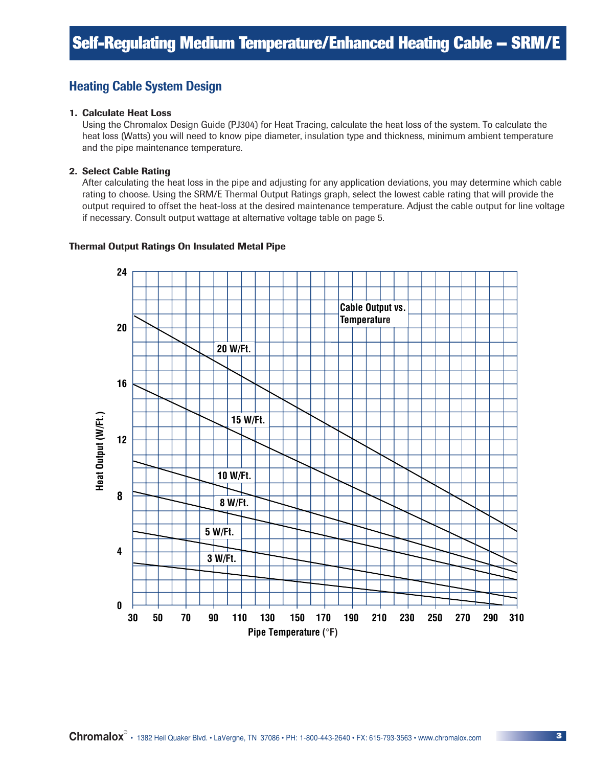## **Heating Cable System Design**

#### **1. Calculate Heat Loss**

Using the Chromalox Design Guide (PJ304) for Heat Tracing, calculate the heat loss of the system. To calculate the heat loss (Watts) you will need to know pipe diameter, insulation type and thickness, minimum ambient temperature and the pipe maintenance temperature.

#### **2. Select Cable Rating**

After calculating the heat loss in the pipe and adjusting for any application deviations, you may determine which cable rating to choose. Using the SRM/E Thermal Output Ratings graph, select the lowest cable rating that will provide the output required to offset the heat-loss at the desired maintenance temperature. Adjust the cable output for line voltage if necessary. Consult output wattage at alternative voltage table on page 5.

# **24 Cable Output vs. Temperature 20 20 W/Ft. 16** Heat Output (W/Ft.) **Heat Output (W/Ft.) 15 W/Ft. 12 10 W/Ft. 8 8 W/Ft. 5 W/Ft.**  $\overline{\phantom{0}}$ **4 3 W/Ft. 0 30 50 70 90 110 130 150 170 190 210 230 250 270 290 310 Pipe Temperature (**°**F)**

#### **Thermal Output Ratings On Insulated Metal Pipe**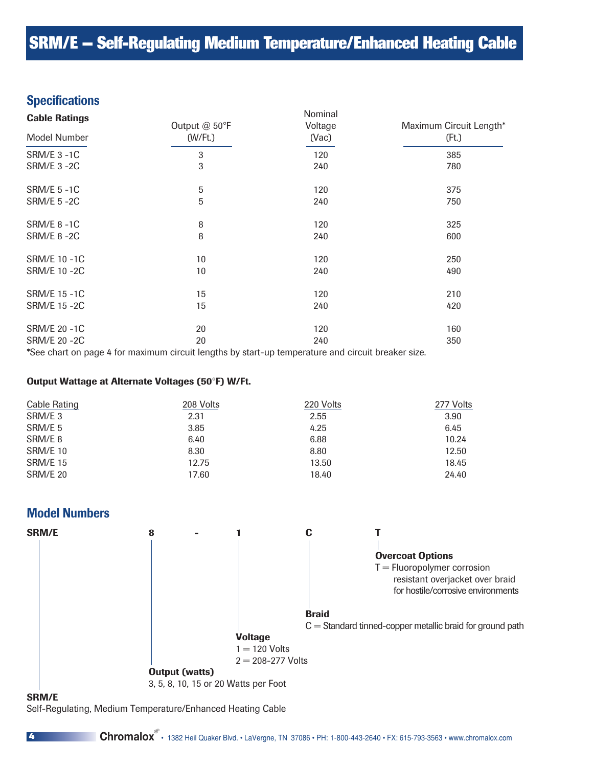# **SRM/E — Self-Regulating Medium Temperature/Enhanced Heating Cable**

Nominal

### **Specifications**

| <b>Cable Ratings</b>                                                                                                                  | Output @ 50°F | <b>INUITIIITI</b> dI<br>Voltage | Maximum Circuit Length*<br>(Ft.)<br>385<br>780 |  |
|---------------------------------------------------------------------------------------------------------------------------------------|---------------|---------------------------------|------------------------------------------------|--|
| <b>Model Number</b>                                                                                                                   | (W/Ft.)       | (Vac)                           |                                                |  |
| <b>SRM/E 3 -1C</b>                                                                                                                    | 3             | 120                             |                                                |  |
| <b>SRM/E 3 -2C</b>                                                                                                                    | 3             | 240                             |                                                |  |
| <b>SRM/E 5 -1C</b>                                                                                                                    | 5             | 120                             | 375                                            |  |
| <b>SRM/E 5 -2C</b>                                                                                                                    | 5             | 240                             | 750                                            |  |
| <b>SRM/E 8 -1C</b>                                                                                                                    | 8             | 120                             | 325                                            |  |
| <b>SRM/E 8 -2C</b>                                                                                                                    | 8             | 240                             | 600                                            |  |
| SRM/E 10 -1C                                                                                                                          | 10            | 120                             | 250                                            |  |
| SRM/E 10 -2C                                                                                                                          | 10            | 240                             | 490                                            |  |
| SRM/E 15 -1C                                                                                                                          | 15            | 120                             | 210                                            |  |
| SRM/E 15 -2C                                                                                                                          | 15            | 240                             | 420                                            |  |
| SRM/E 20 -1C                                                                                                                          | 20            | 120                             | 160                                            |  |
| SRM/E 20 -2C<br>20<br>★∩eer chemical construire a femine chemical chemical chemical construction constructed effective language effec |               | 240                             | 350                                            |  |

\*See chart on page 4 for maximum circuit lengths by start-up temperature and circuit breaker size.

#### **Output Wattage at Alternate Voltages (50**°**F) W/Ft.**

| <b>Cable Rating</b> | 208 Volts | 220 Volts | 277 Volts |
|---------------------|-----------|-----------|-----------|
| SRM/E 3             | 2.31      | 2.55      | 3.90      |
| SRM/E 5             | 3.85      | 4.25      | 6.45      |
| SRM/E 8             | 6.40      | 6.88      | 10.24     |
| <b>SRM/E 10</b>     | 8.30      | 8.80      | 12.50     |
| <b>SRM/E 15</b>     | 12.75     | 13.50     | 18.45     |
| <b>SRM/E 20</b>     | 17.60     | 18.40     | 24.40     |

### **Model Numbers**



#### **SRM/E**

Self-Regulating, Medium Temperature/Enhanced Heating Cable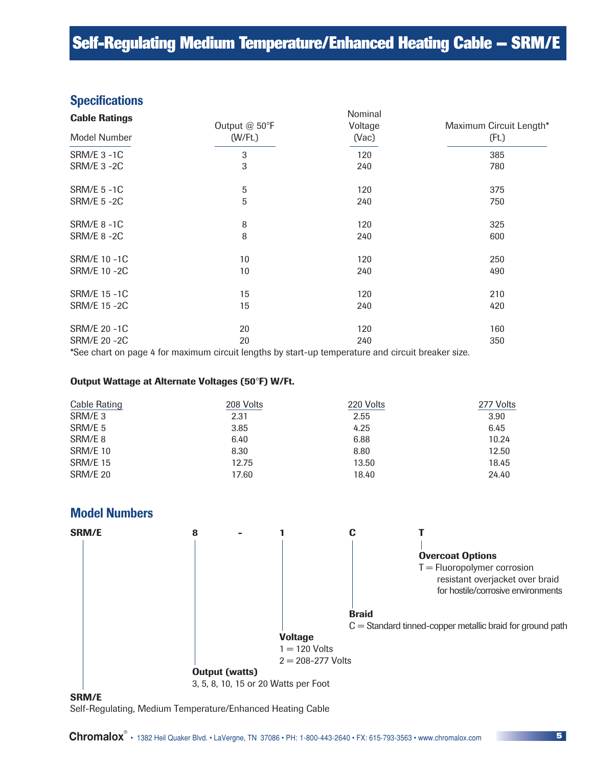# **Specifications**

| <b>Cable Ratings</b> | Output @ 50°F                                                                                     | Nominal<br>Voltage | Maximum Circuit Length*<br>(Ft.)<br>385 |  |
|----------------------|---------------------------------------------------------------------------------------------------|--------------------|-----------------------------------------|--|
| Model Number         | (W/Ft.)                                                                                           | (Vac)              |                                         |  |
| <b>SRM/E 3 -1C</b>   | 3                                                                                                 | 120                |                                         |  |
| <b>SRM/E 3 -2C</b>   | 3                                                                                                 | 240                | 780                                     |  |
| <b>SRM/E 5 -1C</b>   | 5                                                                                                 | 120                | 375                                     |  |
| <b>SRM/E 5 -2C</b>   | 5                                                                                                 | 240                | 750                                     |  |
| <b>SRM/E 8 -1C</b>   | 8                                                                                                 | 120                | 325                                     |  |
| <b>SRM/E 8 -2C</b>   | 8                                                                                                 | 240                | 600                                     |  |
| SRM/E 10 -1C         | 10 <sup>°</sup>                                                                                   | 120                | 250                                     |  |
| SRM/E 10 -2C         | 10 <sup>°</sup>                                                                                   | 240                | 490                                     |  |
| SRM/E 15 -1C         | 15                                                                                                | 120                | 210                                     |  |
| <b>SRM/E 15 -2C</b>  | 15                                                                                                | 240                | 420                                     |  |
| SRM/E 20 -1C         | 20                                                                                                | 120                | 160                                     |  |
| SRM/E 20 - 2C<br>20  |                                                                                                   | 240                | 350                                     |  |
|                      | *See abort an nage 4 for maximum girouit longthe by start up temperature and girouit broaker size |                    |                                         |  |

\*See chart on page 4 for maximum circuit lengths by start-up temperature and circuit breaker size.

#### **Output Wattage at Alternate Voltages (50**°**F) W/Ft.**

| 208 Volts | 220 Volts | 277 Volts |
|-----------|-----------|-----------|
| 2.31      | 2.55      | 3.90      |
| 3.85      | 4.25      | 6.45      |
| 6.40      | 6.88      | 10.24     |
| 8.30      | 8.80      | 12.50     |
| 12.75     | 13.50     | 18.45     |
| 17.60     | 18.40     | 24.40     |
|           |           |           |

#### **Model Numbers**



#### **SRM/E**

Self-Regulating, Medium Temperature/Enhanced Heating Cable